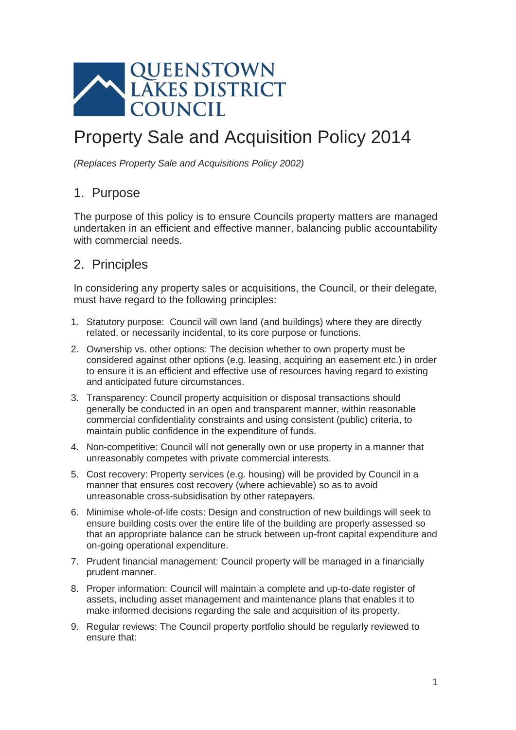

# Property Sale and Acquisition Policy 2014

*(Replaces Property Sale and Acquisitions Policy 2002)*

## 1. Purpose

The purpose of this policy is to ensure Councils property matters are managed undertaken in an efficient and effective manner, balancing public accountability with commercial needs.

## 2. Principles

In considering any property sales or acquisitions, the Council, or their delegate, must have regard to the following principles:

- 1. Statutory purpose: Council will own land (and buildings) where they are directly related, or necessarily incidental, to its core purpose or functions.
- 2. Ownership vs. other options: The decision whether to own property must be considered against other options (e.g. leasing, acquiring an easement etc.) in order to ensure it is an efficient and effective use of resources having regard to existing and anticipated future circumstances.
- 3. Transparency: Council property acquisition or disposal transactions should generally be conducted in an open and transparent manner, within reasonable commercial confidentiality constraints and using consistent (public) criteria, to maintain public confidence in the expenditure of funds.
- 4. Non-competitive: Council will not generally own or use property in a manner that unreasonably competes with private commercial interests.
- 5. Cost recovery: Property services (e.g. housing) will be provided by Council in a manner that ensures cost recovery (where achievable) so as to avoid unreasonable cross-subsidisation by other ratepayers.
- 6. Minimise whole-of-life costs: Design and construction of new buildings will seek to ensure building costs over the entire life of the building are properly assessed so that an appropriate balance can be struck between up-front capital expenditure and on-going operational expenditure.
- 7. Prudent financial management: Council property will be managed in a financially prudent manner.
- 8. Proper information: Council will maintain a complete and up-to-date register of assets, including asset management and maintenance plans that enables it to make informed decisions regarding the sale and acquisition of its property.
- 9. Regular reviews: The Council property portfolio should be regularly reviewed to ensure that: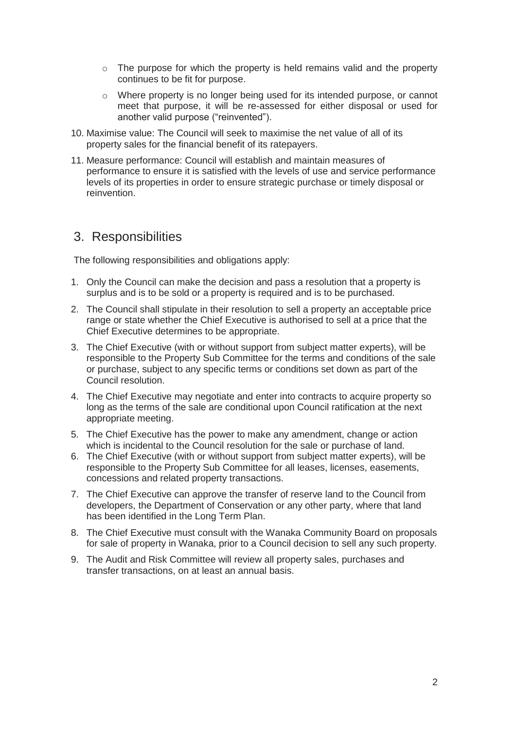- $\circ$  The purpose for which the property is held remains valid and the property continues to be fit for purpose.
- o Where property is no longer being used for its intended purpose, or cannot meet that purpose, it will be re-assessed for either disposal or used for another valid purpose ("reinvented").
- 10. Maximise value: The Council will seek to maximise the net value of all of its property sales for the financial benefit of its ratepayers.
- 11. Measure performance: Council will establish and maintain measures of performance to ensure it is satisfied with the levels of use and service performance levels of its properties in order to ensure strategic purchase or timely disposal or reinvention.

### 3. Responsibilities

The following responsibilities and obligations apply:

- 1. Only the Council can make the decision and pass a resolution that a property is surplus and is to be sold or a property is required and is to be purchased.
- 2. The Council shall stipulate in their resolution to sell a property an acceptable price range or state whether the Chief Executive is authorised to sell at a price that the Chief Executive determines to be appropriate.
- 3. The Chief Executive (with or without support from subject matter experts), will be responsible to the Property Sub Committee for the terms and conditions of the sale or purchase, subject to any specific terms or conditions set down as part of the Council resolution.
- 4. The Chief Executive may negotiate and enter into contracts to acquire property so long as the terms of the sale are conditional upon Council ratification at the next appropriate meeting.
- 5. The Chief Executive has the power to make any amendment, change or action which is incidental to the Council resolution for the sale or purchase of land.
- 6. The Chief Executive (with or without support from subject matter experts), will be responsible to the Property Sub Committee for all leases, licenses, easements, concessions and related property transactions.
- 7. The Chief Executive can approve the transfer of reserve land to the Council from developers, the Department of Conservation or any other party, where that land has been identified in the Long Term Plan.
- 8. The Chief Executive must consult with the Wanaka Community Board on proposals for sale of property in Wanaka, prior to a Council decision to sell any such property.
- 9. The Audit and Risk Committee will review all property sales, purchases and transfer transactions, on at least an annual basis.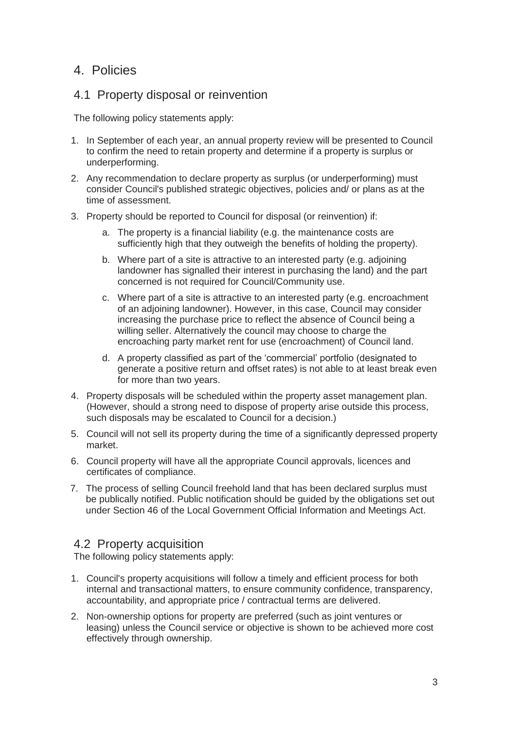## 4. Policies

#### 4.1 Property disposal or reinvention

The following policy statements apply:

- 1. In September of each year, an annual property review will be presented to Council to confirm the need to retain property and determine if a property is surplus or underperforming.
- 2. Any recommendation to declare property as surplus (or underperforming) must consider Council's published strategic objectives, policies and/ or plans as at the time of assessment.
- 3. Property should be reported to Council for disposal (or reinvention) if:
	- a. The property is a financial liability (e.g. the maintenance costs are sufficiently high that they outweigh the benefits of holding the property).
	- b. Where part of a site is attractive to an interested party (e.g. adjoining landowner has signalled their interest in purchasing the land) and the part concerned is not required for Council/Community use.
	- c. Where part of a site is attractive to an interested party (e.g. encroachment of an adjoining landowner). However, in this case, Council may consider increasing the purchase price to reflect the absence of Council being a willing seller. Alternatively the council may choose to charge the encroaching party market rent for use (encroachment) of Council land.
	- d. A property classified as part of the 'commercial' portfolio (designated to generate a positive return and offset rates) is not able to at least break even for more than two years.
- 4. Property disposals will be scheduled within the property asset management plan. (However, should a strong need to dispose of property arise outside this process, such disposals may be escalated to Council for a decision.)
- 5. Council will not sell its property during the time of a significantly depressed property market.
- 6. Council property will have all the appropriate Council approvals, licences and certificates of compliance.
- 7. The process of selling Council freehold land that has been declared surplus must be publically notified. Public notification should be guided by the obligations set out under Section 46 of the Local Government Official Information and Meetings Act.

#### 4.2 Property acquisition

The following policy statements apply:

- 1. Council's property acquisitions will follow a timely and efficient process for both internal and transactional matters, to ensure community confidence, transparency, accountability, and appropriate price / contractual terms are delivered.
- 2. Non-ownership options for property are preferred (such as joint ventures or leasing) unless the Council service or objective is shown to be achieved more cost effectively through ownership.